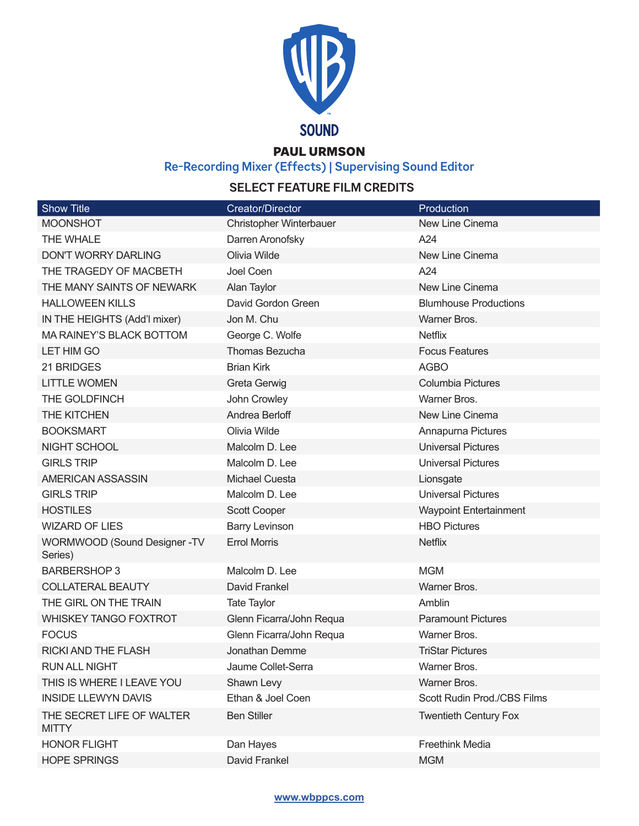

### PAUL URMSON

**Re-Recording Mixer (Effects) | Supervising Sound Editor**

# **SELECT FEATURE FILM CREDITS**

| <b>Show Title</b>                         | Creator/Director         | <b>Production</b>             |
|-------------------------------------------|--------------------------|-------------------------------|
| <b>MOONSHOT</b>                           | Christopher Winterbauer  | New Line Cinema               |
| THE WHALE                                 | Darren Aronofsky         | A24                           |
| <b>DON'T WORRY DARLING</b>                | Olivia Wilde             | New Line Cinema               |
| THE TRAGEDY OF MACBETH                    | Joel Coen                | A24                           |
| THE MANY SAINTS OF NEWARK                 | Alan Taylor              | New Line Cinema               |
| <b>HALLOWEEN KILLS</b>                    | David Gordon Green       | <b>Blumhouse Productions</b>  |
| IN THE HEIGHTS (Add'l mixer)              | Jon M. Chu               | Warner Bros.                  |
| MA RAINEY'S BLACK BOTTOM                  | George C. Wolfe          | <b>Netflix</b>                |
| LET HIM GO                                | Thomas Bezucha           | <b>Focus Features</b>         |
| 21 BRIDGES                                | <b>Brian Kirk</b>        | <b>AGBO</b>                   |
| <b>LITTLE WOMEN</b>                       | <b>Greta Gerwig</b>      | <b>Columbia Pictures</b>      |
| THE GOLDFINCH                             | John Crowley             | Warner Bros.                  |
| THE KITCHEN                               | Andrea Berloff           | New Line Cinema               |
| <b>BOOKSMART</b>                          | Olivia Wilde             | Annapurna Pictures            |
| NIGHT SCHOOL                              | Malcolm D. Lee           | <b>Universal Pictures</b>     |
| <b>GIRLS TRIP</b>                         | Malcolm D. Lee           | <b>Universal Pictures</b>     |
| AMERICAN ASSASSIN                         | <b>Michael Cuesta</b>    | Lionsgate                     |
| <b>GIRLS TRIP</b>                         | Malcolm D. Lee           | <b>Universal Pictures</b>     |
| <b>HOSTILES</b>                           | Scott Cooper             | <b>Waypoint Entertainment</b> |
| <b>WIZARD OF LIES</b>                     | <b>Barry Levinson</b>    | <b>HBO Pictures</b>           |
| WORMWOOD (Sound Designer -TV<br>Series)   | <b>Errol Morris</b>      | <b>Netflix</b>                |
| <b>BARBERSHOP 3</b>                       | Malcolm D. Lee           | <b>MGM</b>                    |
| <b>COLLATERAL BEAUTY</b>                  | David Frankel            | Warner Bros.                  |
| THE GIRL ON THE TRAIN                     | <b>Tate Taylor</b>       | Amblin                        |
| <b>WHISKEY TANGO FOXTROT</b>              | Glenn Ficarra/John Requa | <b>Paramount Pictures</b>     |
| <b>FOCUS</b>                              | Glenn Ficarra/John Requa | Warner Bros.                  |
| <b>RICKI AND THE FLASH</b>                | Jonathan Demme           | <b>TriStar Pictures</b>       |
| RUN ALL NIGHT                             | Jaume Collet-Serra       | Warner Bros.                  |
| THIS IS WHERE I LEAVE YOU                 | Shawn Levy               | Warner Bros.                  |
| <b>INSIDE LLEWYN DAVIS</b>                | Ethan & Joel Coen        | Scott Rudin Prod./CBS Films   |
| THE SECRET LIFE OF WALTER<br><b>MITTY</b> | <b>Ben Stiller</b>       | <b>Twentieth Century Fox</b>  |
| <b>HONOR FLIGHT</b>                       | Dan Hayes                | Freethink Media               |
| <b>HOPE SPRINGS</b>                       | David Frankel            | <b>MGM</b>                    |

#### **www.wbppcs.com**